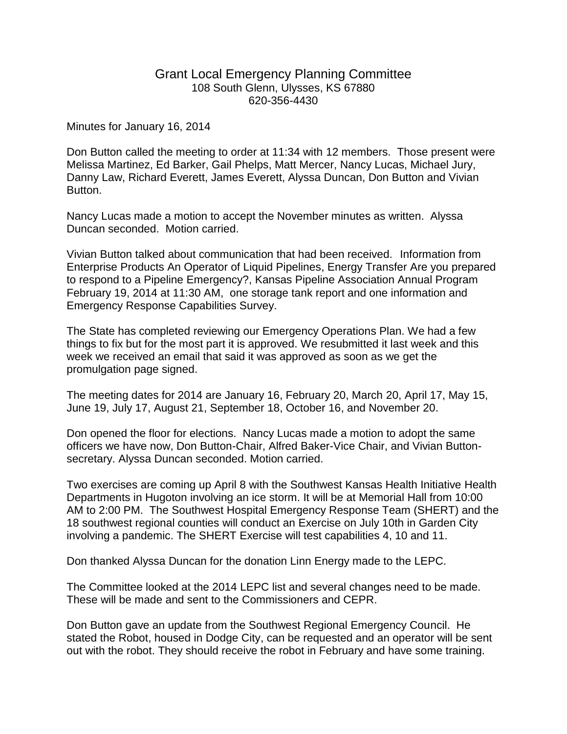## Grant Local Emergency Planning Committee 108 South Glenn, Ulysses, KS 67880 620-356-4430

Minutes for January 16, 2014

Don Button called the meeting to order at 11:34 with 12 members. Those present were Melissa Martinez, Ed Barker, Gail Phelps, Matt Mercer, Nancy Lucas, Michael Jury, Danny Law, Richard Everett, James Everett, Alyssa Duncan, Don Button and Vivian Button.

Nancy Lucas made a motion to accept the November minutes as written. Alyssa Duncan seconded. Motion carried.

Vivian Button talked about communication that had been received. Information from Enterprise Products An Operator of Liquid Pipelines, Energy Transfer Are you prepared to respond to a Pipeline Emergency?, Kansas Pipeline Association Annual Program February 19, 2014 at 11:30 AM, one storage tank report and one information and Emergency Response Capabilities Survey.

The State has completed reviewing our Emergency Operations Plan. We had a few things to fix but for the most part it is approved. We resubmitted it last week and this week we received an email that said it was approved as soon as we get the promulgation page signed.

The meeting dates for 2014 are January 16, February 20, March 20, April 17, May 15, June 19, July 17, August 21, September 18, October 16, and November 20.

Don opened the floor for elections. Nancy Lucas made a motion to adopt the same officers we have now, Don Button-Chair, Alfred Baker-Vice Chair, and Vivian Buttonsecretary. Alyssa Duncan seconded. Motion carried.

Two exercises are coming up April 8 with the Southwest Kansas Health Initiative Health Departments in Hugoton involving an ice storm. It will be at Memorial Hall from 10:00 AM to 2:00 PM. The Southwest Hospital Emergency Response Team (SHERT) and the 18 southwest regional counties will conduct an Exercise on July 10th in Garden City involving a pandemic. The SHERT Exercise will test capabilities 4, 10 and 11.

Don thanked Alyssa Duncan for the donation Linn Energy made to the LEPC.

The Committee looked at the 2014 LEPC list and several changes need to be made. These will be made and sent to the Commissioners and CEPR.

Don Button gave an update from the Southwest Regional Emergency Council. He stated the Robot, housed in Dodge City, can be requested and an operator will be sent out with the robot. They should receive the robot in February and have some training.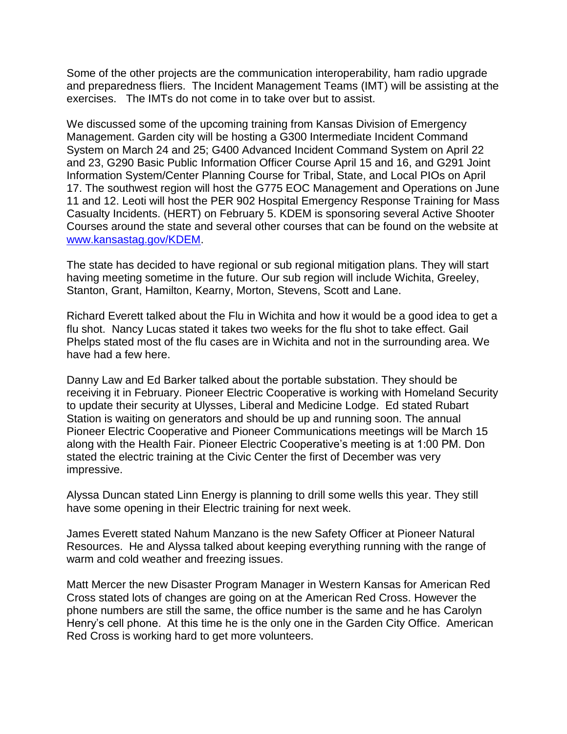Some of the other projects are the communication interoperability, ham radio upgrade and preparedness fliers. The Incident Management Teams (IMT) will be assisting at the exercises. The IMTs do not come in to take over but to assist.

We discussed some of the upcoming training from Kansas Division of Emergency Management. Garden city will be hosting a G300 Intermediate Incident Command System on March 24 and 25; G400 Advanced Incident Command System on April 22 and 23, G290 Basic Public Information Officer Course April 15 and 16, and G291 Joint Information System/Center Planning Course for Tribal, State, and Local PIOs on April 17. The southwest region will host the G775 EOC Management and Operations on June 11 and 12. Leoti will host the PER 902 Hospital Emergency Response Training for Mass Casualty Incidents. (HERT) on February 5. KDEM is sponsoring several Active Shooter Courses around the state and several other courses that can be found on the website at [www.kansastag.gov/KDEM.](http://www.kansastag.gov/KDEM)

The state has decided to have regional or sub regional mitigation plans. They will start having meeting sometime in the future. Our sub region will include Wichita, Greeley, Stanton, Grant, Hamilton, Kearny, Morton, Stevens, Scott and Lane.

Richard Everett talked about the Flu in Wichita and how it would be a good idea to get a flu shot. Nancy Lucas stated it takes two weeks for the flu shot to take effect. Gail Phelps stated most of the flu cases are in Wichita and not in the surrounding area. We have had a few here.

Danny Law and Ed Barker talked about the portable substation. They should be receiving it in February. Pioneer Electric Cooperative is working with Homeland Security to update their security at Ulysses, Liberal and Medicine Lodge. Ed stated Rubart Station is waiting on generators and should be up and running soon. The annual Pioneer Electric Cooperative and Pioneer Communications meetings will be March 15 along with the Health Fair. Pioneer Electric Cooperative's meeting is at 1:00 PM. Don stated the electric training at the Civic Center the first of December was very impressive.

Alyssa Duncan stated Linn Energy is planning to drill some wells this year. They still have some opening in their Electric training for next week.

James Everett stated Nahum Manzano is the new Safety Officer at Pioneer Natural Resources. He and Alyssa talked about keeping everything running with the range of warm and cold weather and freezing issues.

Matt Mercer the new Disaster Program Manager in Western Kansas for American Red Cross stated lots of changes are going on at the American Red Cross. However the phone numbers are still the same, the office number is the same and he has Carolyn Henry's cell phone. At this time he is the only one in the Garden City Office. American Red Cross is working hard to get more volunteers.